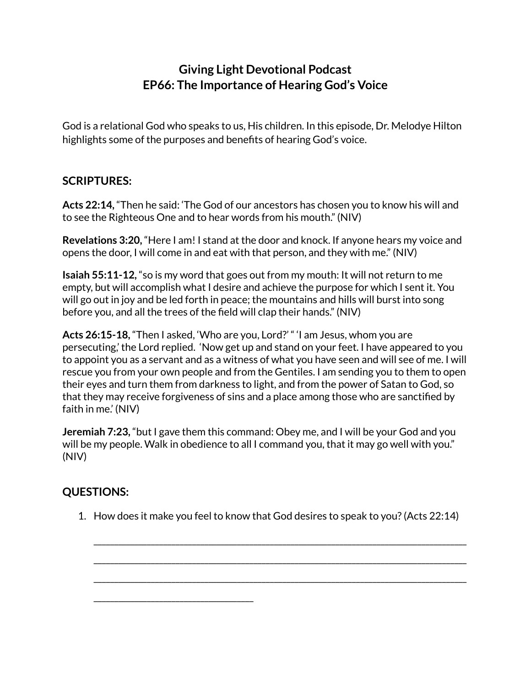## **Giving Light Devotional Podcast EP66: The Importance of Hearing God's Voice**

God is a relational God who speaks to us, His children. In this episode, Dr. Melodye Hilton highlights some of the purposes and benefits of hearing God's voice.

## **SCRIPTURES:**

**Acts 22:14,** "Then he said: 'The God of our ancestors has chosen you to know his will and to see the Righteous One and to hear words from his mouth." (NIV)

**Revelations 3:20,** "Here I am! I stand at the door and knock. If anyone hears my voice and opens the door, I will come in and eat with that person, and they with me." (NIV)

**Isaiah 55:11-12,** "so is my word that goes out from my mouth: It will not return to me empty, but will accomplish what I desire and achieve the purpose for which I sent it. You will go out in joy and be led forth in peace; the mountains and hills will burst into song before you, and all the trees of the field will clap their hands." (NIV)

**Acts 26:15-18,** "Then I asked, 'Who are you, Lord?' " 'I am Jesus, whom you are persecuting,' the Lord replied. 'Now get up and stand on your feet. I have appeared to you to appoint you as a servant and as a witness of what you have seen and will see of me. I will rescue you from your own people and from the Gentiles. I am sending you to them to open their eyes and turn them from darkness to light, and from the power of Satan to God, so that they may receive forgiveness of sins and a place among those who are sanctified by faith in me.' (NIV)

**Jeremiah 7:23,** "but I gave them this command: Obey me, and I will be your God and you will be my people. Walk in obedience to all I command you, that it may go well with you." (NIV)

## **QUESTIONS:**

\_\_\_\_\_\_\_\_\_\_\_\_\_\_\_\_\_\_\_\_\_\_\_\_\_\_\_\_\_\_\_\_\_\_\_\_\_\_\_

1. How does it make you feel to know that God desires to speak to you?(Acts 22:14)

\_\_\_\_\_\_\_\_\_\_\_\_\_\_\_\_\_\_\_\_\_\_\_\_\_\_\_\_\_\_\_\_\_\_\_\_\_\_\_\_\_\_\_\_\_\_\_\_\_\_\_\_\_\_\_\_\_\_\_\_\_\_\_\_\_\_\_\_\_\_\_\_\_\_\_\_\_\_\_\_\_\_\_\_\_\_\_\_\_\_\_

\_\_\_\_\_\_\_\_\_\_\_\_\_\_\_\_\_\_\_\_\_\_\_\_\_\_\_\_\_\_\_\_\_\_\_\_\_\_\_\_\_\_\_\_\_\_\_\_\_\_\_\_\_\_\_\_\_\_\_\_\_\_\_\_\_\_\_\_\_\_\_\_\_\_\_\_\_\_\_\_\_\_\_\_\_\_\_\_\_\_\_

\_\_\_\_\_\_\_\_\_\_\_\_\_\_\_\_\_\_\_\_\_\_\_\_\_\_\_\_\_\_\_\_\_\_\_\_\_\_\_\_\_\_\_\_\_\_\_\_\_\_\_\_\_\_\_\_\_\_\_\_\_\_\_\_\_\_\_\_\_\_\_\_\_\_\_\_\_\_\_\_\_\_\_\_\_\_\_\_\_\_\_